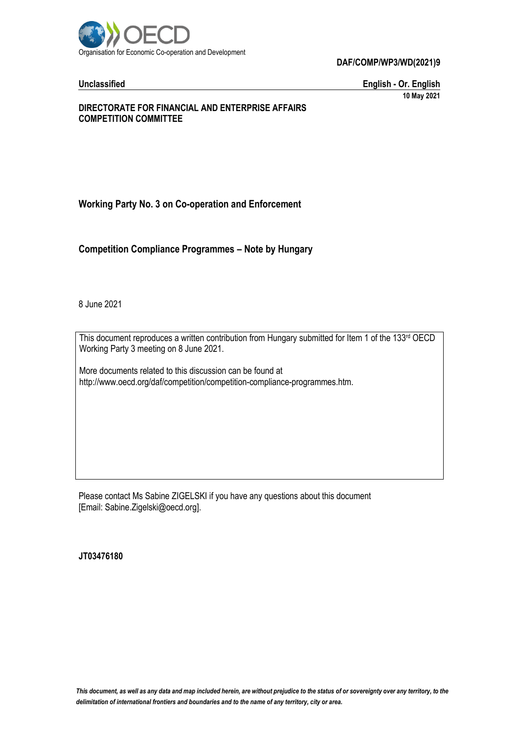

**Unclassified English - Or. English 10 May 2021**

#### **DIRECTORATE FOR FINANCIAL AND ENTERPRISE AFFAIRS COMPETITION COMMITTEE**

# **Working Party No. 3 on Co-operation and Enforcement**

**Competition Compliance Programmes – Note by Hungary**

8 June 2021

This document reproduces a written contribution from Hungary submitted for Item 1 of the 133rd OECD Working Party 3 meeting on 8 June 2021.

More documents related to this discussion can be found at http://www.oecd.org/daf/competition/competition-compliance-programmes.htm.

Please contact Ms Sabine ZIGELSKI if you have any questions about this document [Email: Sabine.Zigelski@oecd.org].

**JT03476180**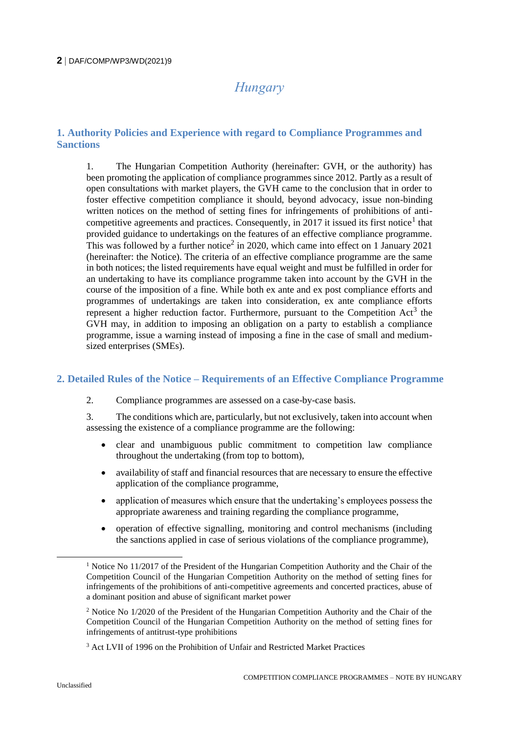# *Hungary*

# **1. Authority Policies and Experience with regard to Compliance Programmes and Sanctions**

1. The Hungarian Competition Authority (hereinafter: GVH, or the authority) has been promoting the application of compliance programmes since 2012. Partly as a result of open consultations with market players, the GVH came to the conclusion that in order to foster effective competition compliance it should, beyond advocacy, issue non-binding written notices on the method of setting fines for infringements of prohibitions of anticompetitive agreements and practices. Consequently, in 2017 it issued its first notice<sup>1</sup> that provided guidance to undertakings on the features of an effective compliance programme. This was followed by a further notice<sup>2</sup> in 2020, which came into effect on 1 January 2021 (hereinafter: the Notice). The criteria of an effective compliance programme are the same in both notices; the listed requirements have equal weight and must be fulfilled in order for an undertaking to have its compliance programme taken into account by the GVH in the course of the imposition of a fine. While both ex ante and ex post compliance efforts and programmes of undertakings are taken into consideration, ex ante compliance efforts represent a higher reduction factor. Furthermore, pursuant to the Competition  $Act<sup>3</sup>$  the GVH may, in addition to imposing an obligation on a party to establish a compliance programme, issue a warning instead of imposing a fine in the case of small and mediumsized enterprises (SMEs).

## **2. Detailed Rules of the Notice – Requirements of an Effective Compliance Programme**

2. Compliance programmes are assessed on a case-by-case basis.

3. The conditions which are, particularly, but not exclusively, taken into account when assessing the existence of a compliance programme are the following:

- clear and unambiguous public commitment to competition law compliance throughout the undertaking (from top to bottom),
- availability of staff and financial resources that are necessary to ensure the effective application of the compliance programme,
- application of measures which ensure that the undertaking's employees possess the appropriate awareness and training regarding the compliance programme,
- operation of effective signalling, monitoring and control mechanisms (including the sanctions applied in case of serious violations of the compliance programme),

<sup>&</sup>lt;sup>1</sup> Notice No 11/2017 of the President of the Hungarian Competition Authority and the Chair of the Competition Council of the Hungarian Competition Authority on the method of setting fines for infringements of the prohibitions of anti-competitive agreements and concerted practices, abuse of a dominant position and abuse of significant market power

<sup>2</sup> Notice No 1/2020 of the President of the Hungarian Competition Authority and the Chair of the Competition Council of the Hungarian Competition Authority on the method of setting fines for infringements of antitrust-type prohibitions

<sup>&</sup>lt;sup>3</sup> Act LVII of 1996 on the Prohibition of Unfair and Restricted Market Practices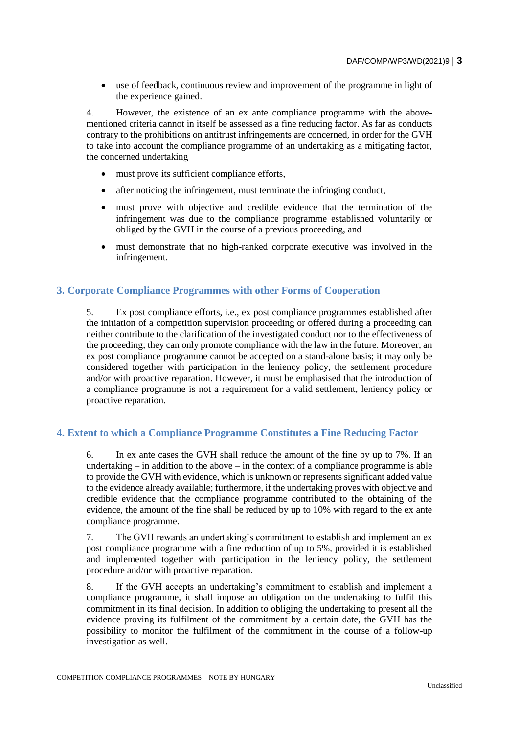use of feedback, continuous review and improvement of the programme in light of the experience gained.

4. However, the existence of an ex ante compliance programme with the abovementioned criteria cannot in itself be assessed as a fine reducing factor. As far as conducts contrary to the prohibitions on antitrust infringements are concerned, in order for the GVH to take into account the compliance programme of an undertaking as a mitigating factor, the concerned undertaking

- must prove its sufficient compliance efforts,
- after noticing the infringement, must terminate the infringing conduct,
- must prove with objective and credible evidence that the termination of the infringement was due to the compliance programme established voluntarily or obliged by the GVH in the course of a previous proceeding, and
- must demonstrate that no high-ranked corporate executive was involved in the infringement.

#### **3. Corporate Compliance Programmes with other Forms of Cooperation**

5. Ex post compliance efforts, i.e., ex post compliance programmes established after the initiation of a competition supervision proceeding or offered during a proceeding can neither contribute to the clarification of the investigated conduct nor to the effectiveness of the proceeding; they can only promote compliance with the law in the future. Moreover, an ex post compliance programme cannot be accepted on a stand-alone basis; it may only be considered together with participation in the leniency policy, the settlement procedure and/or with proactive reparation. However, it must be emphasised that the introduction of a compliance programme is not a requirement for a valid settlement, leniency policy or proactive reparation.

#### **4. Extent to which a Compliance Programme Constitutes a Fine Reducing Factor**

6. In ex ante cases the GVH shall reduce the amount of the fine by up to 7%. If an undertaking  $-$  in addition to the above  $-$  in the context of a compliance programme is able to provide the GVH with evidence, which is unknown or represents significant added value to the evidence already available; furthermore, if the undertaking proves with objective and credible evidence that the compliance programme contributed to the obtaining of the evidence, the amount of the fine shall be reduced by up to 10% with regard to the ex ante compliance programme.

7. The GVH rewards an undertaking's commitment to establish and implement an ex post compliance programme with a fine reduction of up to 5%, provided it is established and implemented together with participation in the leniency policy, the settlement procedure and/or with proactive reparation.

8. If the GVH accepts an undertaking's commitment to establish and implement a compliance programme, it shall impose an obligation on the undertaking to fulfil this commitment in its final decision. In addition to obliging the undertaking to present all the evidence proving its fulfilment of the commitment by a certain date, the GVH has the possibility to monitor the fulfilment of the commitment in the course of a follow-up investigation as well.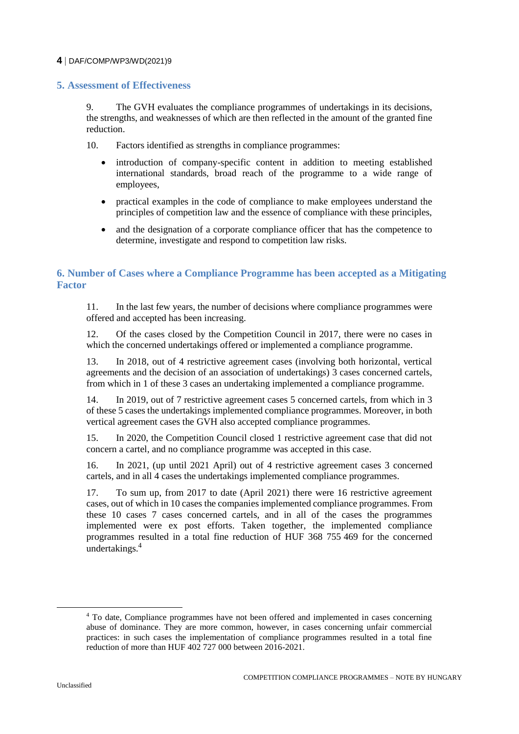### **5. Assessment of Effectiveness**

9. The GVH evaluates the compliance programmes of undertakings in its decisions, the strengths, and weaknesses of which are then reflected in the amount of the granted fine reduction.

10. Factors identified as strengths in compliance programmes:

- introduction of company-specific content in addition to meeting established international standards, broad reach of the programme to a wide range of employees,
- practical examples in the code of compliance to make employees understand the principles of competition law and the essence of compliance with these principles,
- and the designation of a corporate compliance officer that has the competence to determine, investigate and respond to competition law risks.

# **6. Number of Cases where a Compliance Programme has been accepted as a Mitigating Factor**

11. In the last few years, the number of decisions where compliance programmes were offered and accepted has been increasing.

12. Of the cases closed by the Competition Council in 2017, there were no cases in which the concerned undertakings offered or implemented a compliance programme.

13. In 2018, out of 4 restrictive agreement cases (involving both horizontal, vertical agreements and the decision of an association of undertakings) 3 cases concerned cartels, from which in 1 of these 3 cases an undertaking implemented a compliance programme.

14. In 2019, out of 7 restrictive agreement cases 5 concerned cartels, from which in 3 of these 5 cases the undertakings implemented compliance programmes. Moreover, in both vertical agreement cases the GVH also accepted compliance programmes.

15. In 2020, the Competition Council closed 1 restrictive agreement case that did not concern a cartel, and no compliance programme was accepted in this case.

16. In 2021, (up until 2021 April) out of 4 restrictive agreement cases 3 concerned cartels, and in all 4 cases the undertakings implemented compliance programmes.

17. To sum up, from 2017 to date (April 2021) there were 16 restrictive agreement cases, out of which in 10 cases the companies implemented compliance programmes. From these 10 cases 7 cases concerned cartels, and in all of the cases the programmes implemented were ex post efforts. Taken together, the implemented compliance programmes resulted in a total fine reduction of HUF 368 755 469 for the concerned undertakings.<sup>4</sup>

<sup>4</sup> To date, Compliance programmes have not been offered and implemented in cases concerning abuse of dominance. They are more common, however, in cases concerning unfair commercial practices: in such cases the implementation of compliance programmes resulted in a total fine reduction of more than HUF  $402$  727 000 between  $2016 - 2021$ .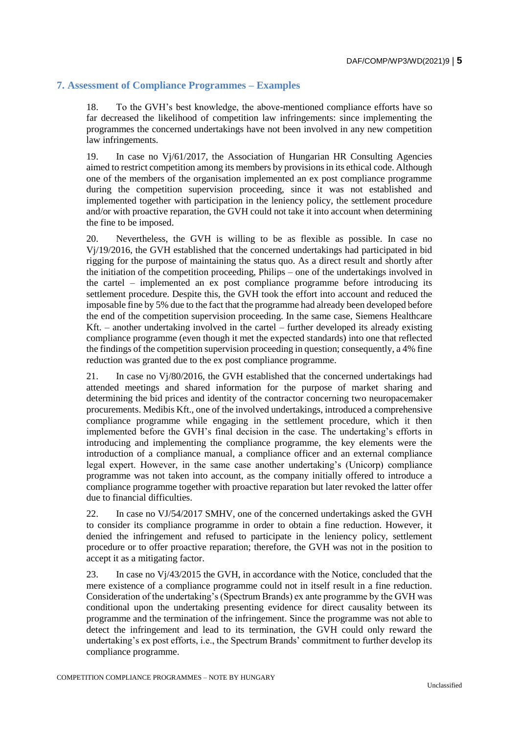# **7. Assessment of Compliance Programmes – Examples**

18. To the GVH's best knowledge, the above-mentioned compliance efforts have so far decreased the likelihood of competition law infringements: since implementing the programmes the concerned undertakings have not been involved in any new competition law infringements.

19. In case no Vj/61/2017, the Association of Hungarian HR Consulting Agencies aimed to restrict competition among its members by provisions in its ethical code. Although one of the members of the organisation implemented an ex post compliance programme during the competition supervision proceeding, since it was not established and implemented together with participation in the leniency policy, the settlement procedure and/or with proactive reparation, the GVH could not take it into account when determining the fine to be imposed.

20. Nevertheless, the GVH is willing to be as flexible as possible. In case no Vj/19/2016, the GVH established that the concerned undertakings had participated in bid rigging for the purpose of maintaining the status quo. As a direct result and shortly after the initiation of the competition proceeding, Philips – one of the undertakings involved in the cartel – implemented an ex post compliance programme before introducing its settlement procedure. Despite this, the GVH took the effort into account and reduced the imposable fine by 5% due to the fact that the programme had already been developed before the end of the competition supervision proceeding. In the same case, Siemens Healthcare Kft. – another undertaking involved in the cartel – further developed its already existing compliance programme (even though it met the expected standards) into one that reflected the findings of the competition supervision proceeding in question; consequently, a 4% fine reduction was granted due to the ex post compliance programme.

21. In case no Vj/80/2016, the GVH established that the concerned undertakings had attended meetings and shared information for the purpose of market sharing and determining the bid prices and identity of the contractor concerning two neuropacemaker procurements. Medibis Kft., one of the involved undertakings, introduced a comprehensive compliance programme while engaging in the settlement procedure, which it then implemented before the GVH's final decision in the case. The undertaking's efforts in introducing and implementing the compliance programme, the key elements were the introduction of a compliance manual, a compliance officer and an external compliance legal expert. However, in the same case another undertaking's (Unicorp) compliance programme was not taken into account, as the company initially offered to introduce a compliance programme together with proactive reparation but later revoked the latter offer due to financial difficulties.

22. In case no VJ/54/2017 SMHV, one of the concerned undertakings asked the GVH to consider its compliance programme in order to obtain a fine reduction. However, it denied the infringement and refused to participate in the leniency policy, settlement procedure or to offer proactive reparation; therefore, the GVH was not in the position to accept it as a mitigating factor.

23. In case no Vj/43/2015 the GVH, in accordance with the Notice, concluded that the mere existence of a compliance programme could not in itself result in a fine reduction. Consideration of the undertaking's (Spectrum Brands) ex ante programme by the GVH was conditional upon the undertaking presenting evidence for direct causality between its programme and the termination of the infringement. Since the programme was not able to detect the infringement and lead to its termination, the GVH could only reward the undertaking's ex post efforts, i.e., the Spectrum Brands' commitment to further develop its compliance programme.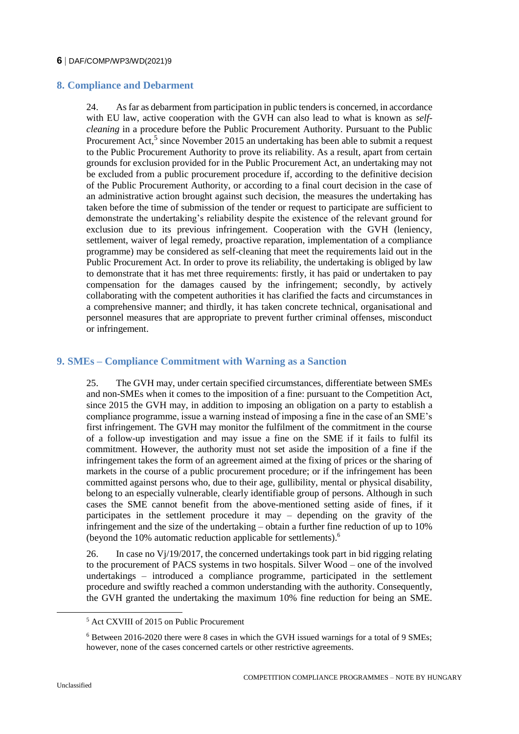# **8. Compliance and Debarment**

24. As far as debarment from participation in public tenders is concerned, in accordance with EU law, active cooperation with the GVH can also lead to what is known as *selfcleaning* in a procedure before the Public Procurement Authority. Pursuant to the Public Procurement Act,<sup>5</sup> since November 2015 an undertaking has been able to submit a request to the Public Procurement Authority to prove its reliability. As a result, apart from certain grounds for exclusion provided for in the Public Procurement Act, an undertaking may not be excluded from a public procurement procedure if, according to the definitive decision of the Public Procurement Authority, or according to a final court decision in the case of an administrative action brought against such decision, the measures the undertaking has taken before the time of submission of the tender or request to participate are sufficient to demonstrate the undertaking's reliability despite the existence of the relevant ground for exclusion due to its previous infringement. Cooperation with the GVH (leniency, settlement, waiver of legal remedy, proactive reparation, implementation of a compliance programme) may be considered as self-cleaning that meet the requirements laid out in the Public Procurement Act. In order to prove its reliability, the undertaking is obliged by law to demonstrate that it has met three requirements: firstly, it has paid or undertaken to pay compensation for the damages caused by the infringement; secondly, by actively collaborating with the competent authorities it has clarified the facts and circumstances in a comprehensive manner; and thirdly, it has taken concrete technical, organisational and personnel measures that are appropriate to prevent further criminal offenses, misconduct or infringement.

# **9. SMEs – Compliance Commitment with Warning as a Sanction**

25. The GVH may, under certain specified circumstances, differentiate between SMEs and non-SMEs when it comes to the imposition of a fine: pursuant to the Competition Act, since 2015 the GVH may, in addition to imposing an obligation on a party to establish a compliance programme, issue a warning instead of imposing a fine in the case of an SME's first infringement. The GVH may monitor the fulfilment of the commitment in the course of a follow-up investigation and may issue a fine on the SME if it fails to fulfil its commitment. However, the authority must not set aside the imposition of a fine if the infringement takes the form of an agreement aimed at the fixing of prices or the sharing of markets in the course of a public procurement procedure; or if the infringement has been committed against persons who, due to their age, gullibility, mental or physical disability, belong to an especially vulnerable, clearly identifiable group of persons. Although in such cases the SME cannot benefit from the above-mentioned setting aside of fines, if it participates in the settlement procedure it may – depending on the gravity of the infringement and the size of the undertaking – obtain a further fine reduction of up to 10% (beyond the 10% automatic reduction applicable for settlements).<sup>6</sup>

26. In case no  $V_1/19/2017$ , the concerned undertakings took part in bid rigging relating to the procurement of PACS systems in two hospitals. Silver Wood – one of the involved undertakings – introduced a compliance programme, participated in the settlement procedure and swiftly reached a common understanding with the authority. Consequently, the GVH granted the undertaking the maximum 10% fine reduction for being an SME.

 $\overline{a}$ 

<sup>5</sup> Act CXVIII of 2015 on Public Procurement

<sup>6</sup> Between 2016-2020 there were 8 cases in which the GVH issued warnings for a total of 9 SMEs; however, none of the cases concerned cartels or other restrictive agreements.